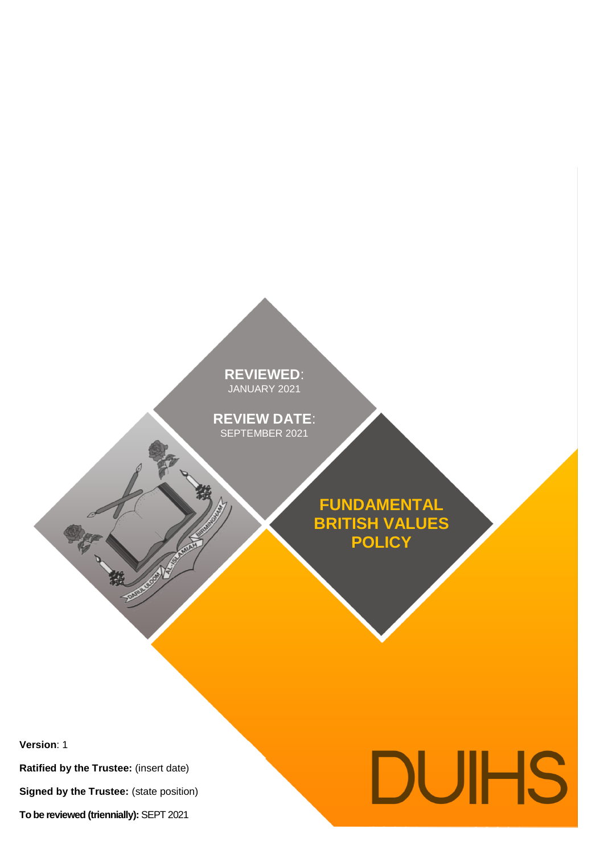**REVIEWED**: JANUARY 2021

**REVIEW DATE**: SEPTEMBER 2021

> **FUNDAMENTAL BRITISH VALUES POLICY**

**Version**: 1

**Ratified by the Trustee:** (insert date)

中装

**Signed by the Trustee:** (state position)

**To be reviewed (triennially):** SEPT 2021

# DUIHS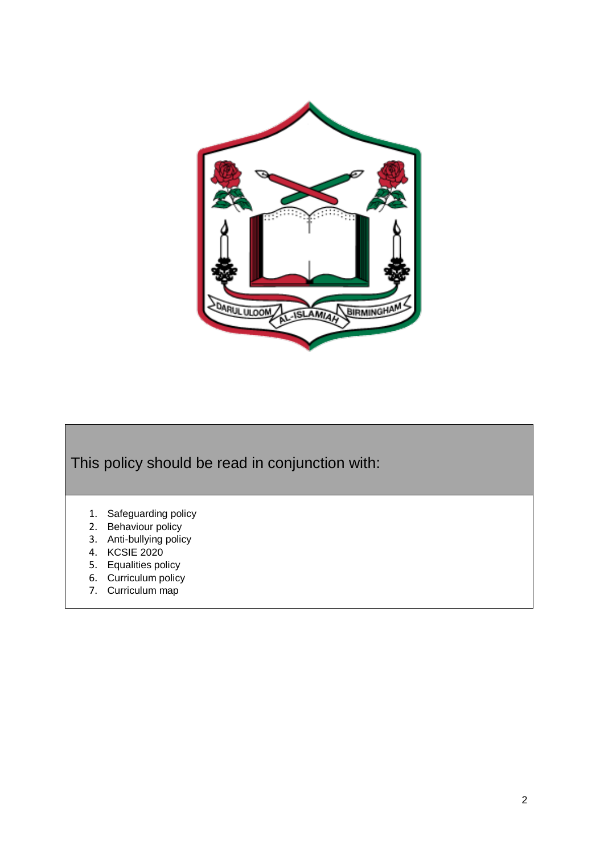

This policy should be read in conjunction with:

- 1. Safeguarding policy
- 2. Behaviour policy
- 3. Anti-bullying policy
- 4. KCSIE 2020
- 5. Equalities policy
- 6. Curriculum policy
- 7. Curriculum map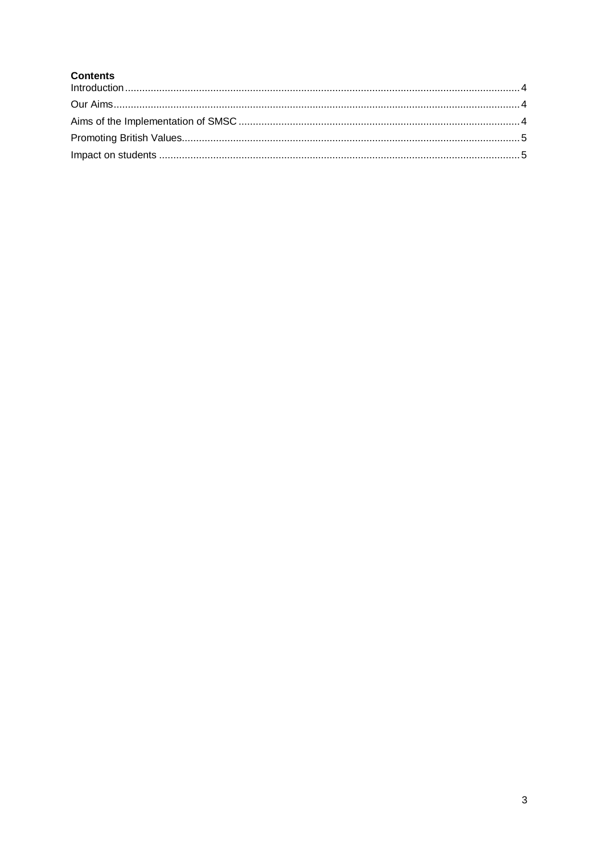# **Contents**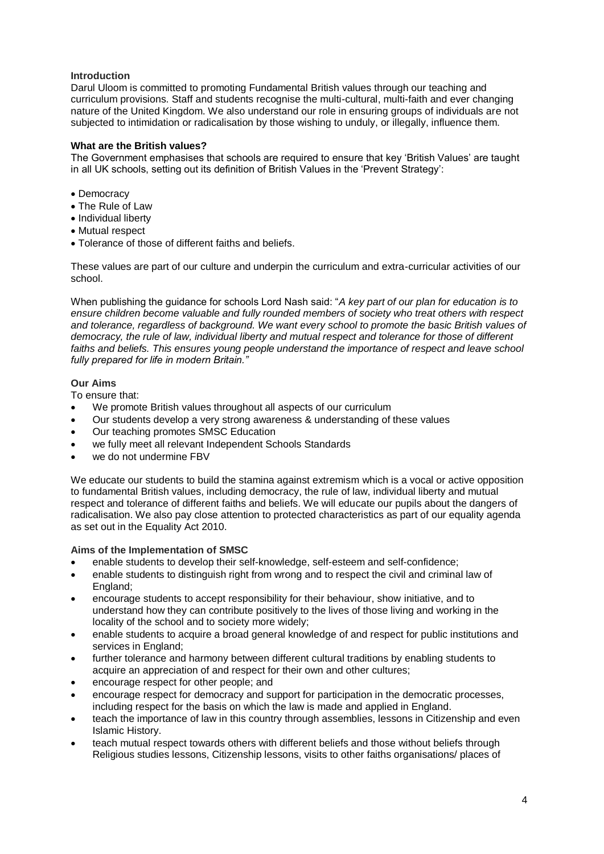# <span id="page-3-0"></span>**Introduction**

Darul Uloom is committed to promoting Fundamental British values through our teaching and curriculum provisions. Staff and students recognise the multi-cultural, multi-faith and ever changing nature of the United Kingdom. We also understand our role in ensuring groups of individuals are not subjected to intimidation or radicalisation by those wishing to unduly, or illegally, influence them.

# **What are the British values?**

The Government emphasises that schools are required to ensure that key 'British Values' are taught in all UK schools, setting out its definition of British Values in the 'Prevent Strategy':

- Democracy
- The Rule of Law
- Individual liberty
- Mutual respect
- Tolerance of those of different faiths and beliefs.

These values are part of our culture and underpin the curriculum and extra-curricular activities of our school.

When publishing the guidance for schools Lord Nash said: "*A key part of our plan for education is to ensure children become valuable and fully rounded members of society who treat others with respect and tolerance, regardless of background. We want every school to promote the basic British values of democracy, the rule of law, individual liberty and mutual respect and tolerance for those of different*  faiths and beliefs. This ensures young people understand the importance of respect and leave school *fully prepared for life in modern Britain."*

# <span id="page-3-1"></span>**Our Aims**

To ensure that:

- We promote British values throughout all aspects of our curriculum
- Our students develop a very strong awareness & understanding of these values
- Our teaching promotes SMSC Education
- we fully meet all relevant Independent Schools Standards
- we do not undermine FBV

We educate our students to build the stamina against extremism which is a vocal or active opposition to fundamental British values, including democracy, the rule of law, individual liberty and mutual respect and tolerance of different faiths and beliefs. We will educate our pupils about the dangers of radicalisation. We also pay close attention to protected characteristics as part of our equality agenda as set out in the Equality Act 2010.

# <span id="page-3-2"></span>**Aims of the Implementation of SMSC**

- enable students to develop their self-knowledge, self-esteem and self-confidence;
- enable students to distinguish right from wrong and to respect the civil and criminal law of England;
- encourage students to accept responsibility for their behaviour, show initiative, and to understand how they can contribute positively to the lives of those living and working in the locality of the school and to society more widely;
- enable students to acquire a broad general knowledge of and respect for public institutions and services in England;
- further tolerance and harmony between different cultural traditions by enabling students to acquire an appreciation of and respect for their own and other cultures;
- encourage respect for other people; and
- encourage respect for democracy and support for participation in the democratic processes, including respect for the basis on which the law is made and applied in England.
- teach the importance of law in this country through assemblies, lessons in Citizenship and even Islamic History.
- teach mutual respect towards others with different beliefs and those without beliefs through Religious studies lessons, Citizenship lessons, visits to other faiths organisations/ places of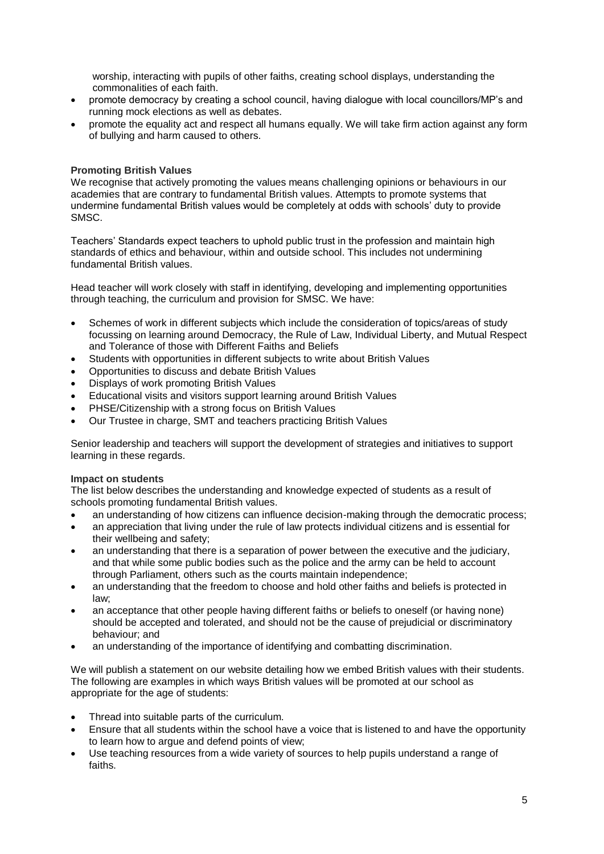worship, interacting with pupils of other faiths, creating school displays, understanding the commonalities of each faith.

- promote democracy by creating a school council, having dialogue with local councillors/MP's and running mock elections as well as debates.
- promote the equality act and respect all humans equally. We will take firm action against any form of bullying and harm caused to others.

# <span id="page-4-0"></span>**Promoting British Values**

We recognise that actively promoting the values means challenging opinions or behaviours in our academies that are contrary to fundamental British values. Attempts to promote systems that undermine fundamental British values would be completely at odds with schools' duty to provide SMSC.

Teachers' Standards expect teachers to uphold public trust in the profession and maintain high standards of ethics and behaviour, within and outside school. This includes not undermining fundamental British values.

Head teacher will work closely with staff in identifying, developing and implementing opportunities through teaching, the curriculum and provision for SMSC. We have:

- Schemes of work in different subjects which include the consideration of topics/areas of study focussing on learning around Democracy, the Rule of Law, Individual Liberty, and Mutual Respect and Tolerance of those with Different Faiths and Beliefs
- Students with opportunities in different subjects to write about British Values
- Opportunities to discuss and debate British Values
- Displays of work promoting British Values
- Educational visits and visitors support learning around British Values
- PHSE/Citizenship with a strong focus on British Values
- Our Trustee in charge, SMT and teachers practicing British Values

Senior leadership and teachers will support the development of strategies and initiatives to support learning in these regards.

# <span id="page-4-1"></span>**Impact on students**

The list below describes the understanding and knowledge expected of students as a result of schools promoting fundamental British values.

- an understanding of how citizens can influence decision-making through the democratic process;
- an appreciation that living under the rule of law protects individual citizens and is essential for their wellbeing and safety;
- an understanding that there is a separation of power between the executive and the judiciary, and that while some public bodies such as the police and the army can be held to account through Parliament, others such as the courts maintain independence;
- an understanding that the freedom to choose and hold other faiths and beliefs is protected in law;
- an acceptance that other people having different faiths or beliefs to oneself (or having none) should be accepted and tolerated, and should not be the cause of prejudicial or discriminatory behaviour; and
- an understanding of the importance of identifying and combatting discrimination.

We will publish a statement on our website detailing how we embed British values with their students. The following are examples in which ways British values will be promoted at our school as appropriate for the age of students:

- Thread into suitable parts of the curriculum.
- Ensure that all students within the school have a voice that is listened to and have the opportunity to learn how to argue and defend points of view;
- Use teaching resources from a wide variety of sources to help pupils understand a range of faiths.